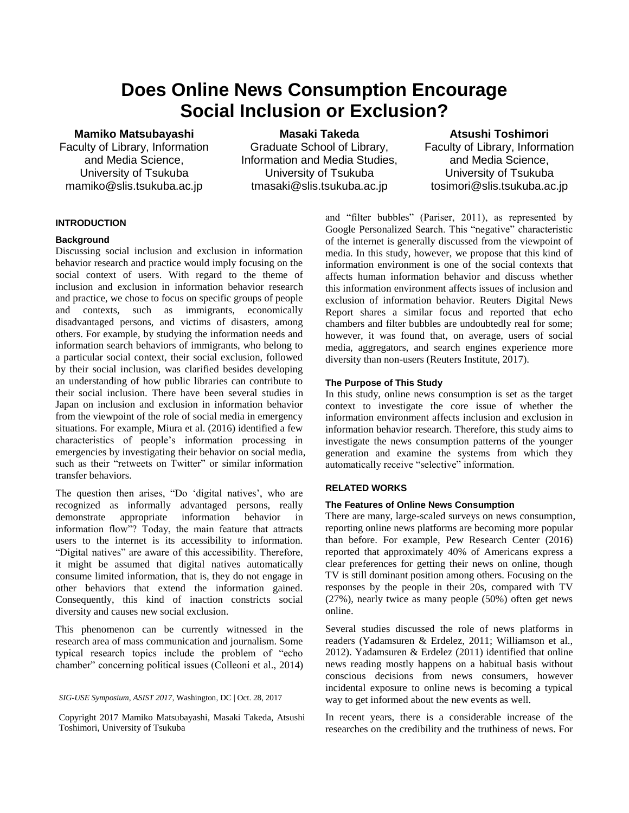# **Does Online News Consumption Encourage Social Inclusion or Exclusion?**

### **Mamiko Matsubayashi**

Faculty of Library, Information and Media Science, University of Tsukuba mamiko@slis.tsukuba.ac.jp

**Masaki Takeda** Graduate School of Library, Information and Media Studies, University of Tsukuba tmasaki@slis.tsukuba.ac.jp

**Atsushi Toshimori** Faculty of Library, Information and Media Science, University of Tsukuba tosimori@slis.tsukuba.ac.jp

# **INTRODUCTION**

#### **Background**

Discussing social inclusion and exclusion in information behavior research and practice would imply focusing on the social context of users. With regard to the theme of inclusion and exclusion in information behavior research and practice, we chose to focus on specific groups of people and contexts, such as immigrants, economically disadvantaged persons, and victims of disasters, among others. For example, by studying the information needs and information search behaviors of immigrants, who belong to a particular social context, their social exclusion, followed by their social inclusion, was clarified besides developing an understanding of how public libraries can contribute to their social inclusion. There have been several studies in Japan on inclusion and exclusion in information behavior from the viewpoint of the role of social media in emergency situations. For example, Miura et al. (2016) identified a few characteristics of people's information processing in emergencies by investigating their behavior on social media, such as their "retweets on Twitter" or similar information transfer behaviors.

The question then arises, "Do 'digital natives', who are recognized as informally advantaged persons, really demonstrate appropriate information behavior in information flow"? Today, the main feature that attracts users to the internet is its accessibility to information. "Digital natives" are aware of this accessibility. Therefore, it might be assumed that digital natives automatically consume limited information, that is, they do not engage in other behaviors that extend the information gained. Consequently, this kind of inaction constricts social diversity and causes new social exclusion.

This phenomenon can be currently witnessed in the research area of mass communication and journalism. Some typical research topics include the problem of "echo chamber" concerning political issues (Colleoni et al., 2014)

Copyright 2017 Mamiko Matsubayashi, Masaki Takeda, Atsushi Toshimori, University of Tsukuba

and "filter bubbles" (Pariser, 2011), as represented by Google Personalized Search. This "negative" characteristic of the internet is generally discussed from the viewpoint of media. In this study, however, we propose that this kind of information environment is one of the social contexts that affects human information behavior and discuss whether this information environment affects issues of inclusion and exclusion of information behavior. Reuters Digital News Report shares a similar focus and reported that echo chambers and filter bubbles are undoubtedly real for some; however, it was found that, on average, users of social media, aggregators, and search engines experience more diversity than non-users (Reuters Institute, 2017).

#### **The Purpose of This Study**

In this study, online news consumption is set as the target context to investigate the core issue of whether the information environment affects inclusion and exclusion in information behavior research. Therefore, this study aims to investigate the news consumption patterns of the younger generation and examine the systems from which they automatically receive "selective" information.

# **RELATED WORKS**

## **The Features of Online News Consumption**

There are many, large-scaled surveys on news consumption, reporting online news platforms are becoming more popular than before. For example, Pew Research Center (2016) reported that approximately 40% of Americans express a clear preferences for getting their news on online, though TV is still dominant position among others. Focusing on the responses by the people in their 20s, compared with TV (27%), nearly twice as many people (50%) often get news online.

Several studies discussed the role of news platforms in readers (Yadamsuren & Erdelez, 2011; Williamson et al., 2012). Yadamsuren & Erdelez (2011) identified that online news reading mostly happens on a habitual basis without conscious decisions from news consumers, however incidental exposure to online news is becoming a typical way to get informed about the new events as well.

In recent years, there is a considerable increase of the researches on the credibility and the truthiness of news. For

*SIG-USE Symposium, ASIST 2017,* Washington, DC | Oct. 28, 2017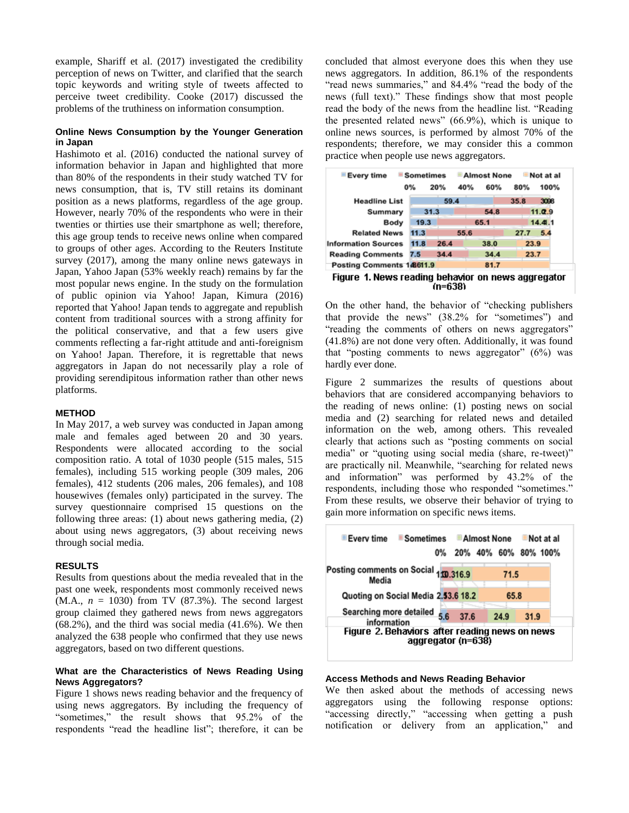example, Shariff et al. (2017) investigated the credibility perception of news on Twitter, and clarified that the search topic keywords and writing style of tweets affected to perceive tweet credibility. Cooke (2017) discussed the problems of the truthiness on information consumption.

#### **Online News Consumption by the Younger Generation in Japan**

Hashimoto et al. (2016) conducted the national survey of information behavior in Japan and highlighted that more than 80% of the respondents in their study watched TV for news consumption, that is, TV still retains its dominant position as a news platforms, regardless of the age group. However, nearly 70% of the respondents who were in their twenties or thirties use their smartphone as well; therefore, this age group tends to receive news online when compared to groups of other ages. According to the Reuters Institute survey (2017), among the many online news gateways in Japan, Yahoo Japan (53% weekly reach) remains by far the most popular news engine. In the study on the formulation of public opinion via Yahoo! Japan, Kimura (2016) reported that Yahoo! Japan tends to aggregate and republish content from traditional sources with a strong affinity for the political conservative, and that a few users give comments reflecting a far-right attitude and anti-foreignism on Yahoo! Japan. Therefore, it is regrettable that news aggregators in Japan do not necessarily play a role of providing serendipitous information rather than other news platforms.

## **METHOD**

In May 2017, a web survey was conducted in Japan among male and females aged between 20 and 30 years. Respondents were allocated according to the social composition ratio. A total of 1030 people (515 males, 515 females), including 515 working people (309 males, 206 females), 412 students (206 males, 206 females), and 108 housewives (females only) participated in the survey. The survey questionnaire comprised 15 questions on the following three areas: (1) about news gathering media, (2) about using news aggregators, (3) about receiving news through social media.

#### **RESULTS**

Results from questions about the media revealed that in the past one week, respondents most commonly received news  $(M.A., n = 1030)$  from TV  $(87.3%)$ . The second largest group claimed they gathered news from news aggregators (68.2%), and the third was social media (41.6%). We then analyzed the 638 people who confirmed that they use news aggregators, based on two different questions.

# **What are the Characteristics of News Reading Using News Aggregators?**

Figure 1 shows news reading behavior and the frequency of using news aggregators. By including the frequency of "sometimes," the result shows that 95.2% of the respondents "read the headline list"; therefore, it can be

concluded that almost everyone does this when they use news aggregators. In addition, 86.1% of the respondents "read news summaries," and 84.4% "read the body of the news (full text)." These findings show that most people read the body of the news from the headline list. "Reading the presented related news" (66.9%), which is unique to online news sources, is performed by almost 70% of the respondents; therefore, we may consider this a common practice when people use news aggregators.

| ■ Every time                                        | <b>Sometimes</b><br><b>Almost None</b> |      |      | Not at al |      |         |
|-----------------------------------------------------|----------------------------------------|------|------|-----------|------|---------|
|                                                     | 0%                                     | 20%  | 40%  | 60%       | 80%  | 100%    |
| <b>Headline List</b>                                |                                        | 59.4 |      |           | 35.8 | 3096    |
| Summary                                             | 31.3                                   |      |      | 54.8      |      | 11.0.9  |
| Body                                                | 19.3                                   |      |      | 65.1      |      | 14.41.1 |
| <b>Related News</b>                                 | 11.3                                   |      | 55.6 |           | 27.7 | 5.4     |
| <b>Information Sources</b>                          | 11.8                                   | 26.4 |      | 38.0      | 23.9 |         |
| <b>Reading Comments 7.5</b>                         |                                        | 34.4 |      | 34.4      | 23.7 |         |
| Posting Comments 148611.9                           |                                        |      |      | 81.7      |      |         |
| Figura 4. Napos raading bahariar an napo aggraamtar |                                        |      |      |           |      |         |

Figure 1. News reading behavior on news aggregator (n=638)

On the other hand, the behavior of "checking publishers that provide the news" (38.2% for "sometimes") and "reading the comments of others on news aggregators" (41.8%) are not done very often. Additionally, it was found that "posting comments to news aggregator"  $(6\%)$  was hardly ever done.

Figure 2 summarizes the results of questions about behaviors that are considered accompanying behaviors to the reading of news online: (1) posting news on social media and (2) searching for related news and detailed information on the web, among others. This revealed clearly that actions such as "posting comments on social media" or "quoting using social media (share, re-tweet)" are practically nil. Meanwhile, "searching for related news and information" was performed by 43.2% of the respondents, including those who responded "sometimes." From these results, we observe their behavior of trying to gain more information on specific news items.



# **Access Methods and News Reading Behavior**

We then asked about the methods of accessing news aggregators using the following response options: "accessing directly," "accessing when getting a push notification or delivery from an application," and